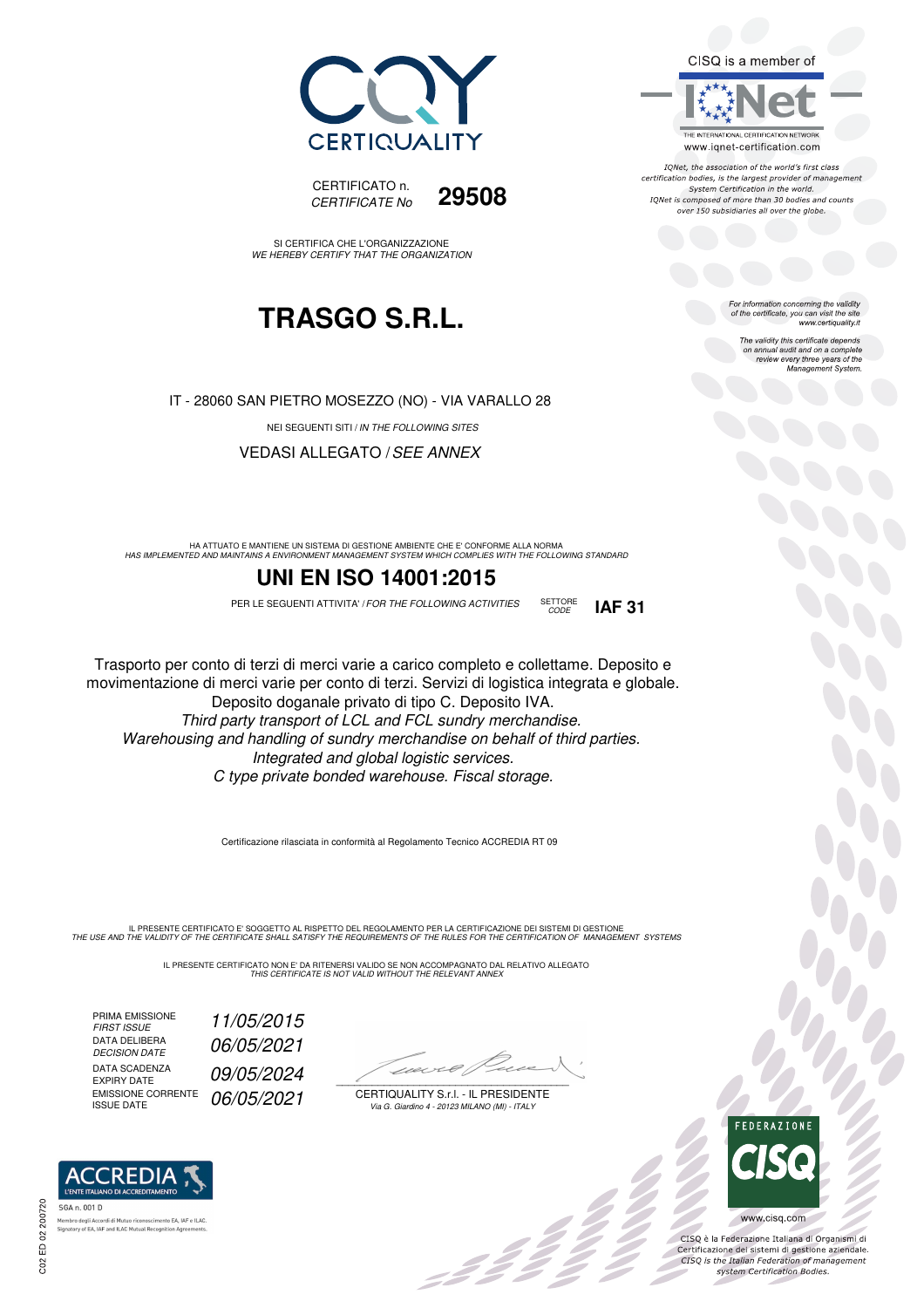



SI CERTIFICA CHE L'ORGANIZZAZIONE WE HEREBY CERTIFY THAT THE ORGANIZATION

## **TRASGO S.R.L.**

IT - 28060 SAN PIETRO MOSEZZO (NO) - VIA VARALLO 28

NEI SEGUENTI SITI / IN THE FOLLOWING SITES

VEDASI ALLEGATO /SEE ANNEX

HA ATTUATO E MANTIENE UN SISTEMA DI GESTIONE AMBIENTE CHE E' CONFORME ALLA NORMA<br>HAS IMPLEMENTED AND MAINTAINS A ENVIRONMENT MANAGEMENT SYSTEM WHICH COMPLIES WITH THE FOLLOWING STANDARD

#### **UNI EN ISO 14001:2015**

PER LE SEGUENTI ATTIVITA' / FOR THE FOLLOWING ACTIVITIES SETTORE **IAF 31** 



Trasporto per conto di terzi di merci varie a carico completo e collettame. Deposito e movimentazione di merci varie per conto di terzi. Servizi di logistica integrata e globale. Deposito doganale privato di tipo C. Deposito IVA. Third party transport of LCL and FCL sundry merchandise. Warehousing and handling of sundry merchandise on behalf of third parties. Integrated and global logistic services. C type private bonded warehouse. Fiscal storage.

Certificazione rilasciata in conformità al Regolamento Tecnico ACCREDIA RT 09

IL PRESENTE CERTIFICATO E' SOGGETTO AL RISPETTO DEL REGOLAMENTO PER LA CERTIFICAZIONE DEI SISTEMI DI GESTIONE<br>THE USE AND THE VALIDITY OF THE CERTIFICATE SHALL SATISFY THE REQUIREMENTS OF THE RULES FOR THE CERTIFICATION OF

IL PRESENTE CERTIFICATO NON E' DA RITENERSI VALIDO SE NON ACCOMPAGNATO DAL RELATIVO ALLEGATO<br>*THIS CERTIFICATE IS NOT VALID WITHOUT THE RELEVANT ANNEX* 

PRIMA EMISSIONE<br>FIRST ISSUE DATA DELIBERA<br>DECISION DATE DATA SCADENZA<br>EXPIRY DATE EMISSIONE CORRENTE EMISSIONE CORRENTE 06/05/2021

FIRST ISSUE 11/05/2015 06/05/2021 09/05/2024

1101  $\overline{\phantom{a}}$ 

CERTIQUALITY S.r.l. - IL PRESIDENTE Via G. Giardino 4 - 20123 MILANO (MI) - ITALY

. I BB



 $\frac{1}{2}$ 

CISQ è la Federazione Italiana di Organismi di Certificazione dei sistemi di gestione aziendale.<br>CISQ is the Italian Federation of management system Certification Bodies.





IONet, the association of the world's first class certification bodies, is the largest provider of management System Certification in the world. IQNet is composed of more than 30 bodies and counts over 150 subsidiaries all over the globe.

For information concerning the validity<br>of the certificate, you can visit the site<br>www.certiquality.it

The validity this certificate depends on annual audit and on a complete review every three years of the Management System.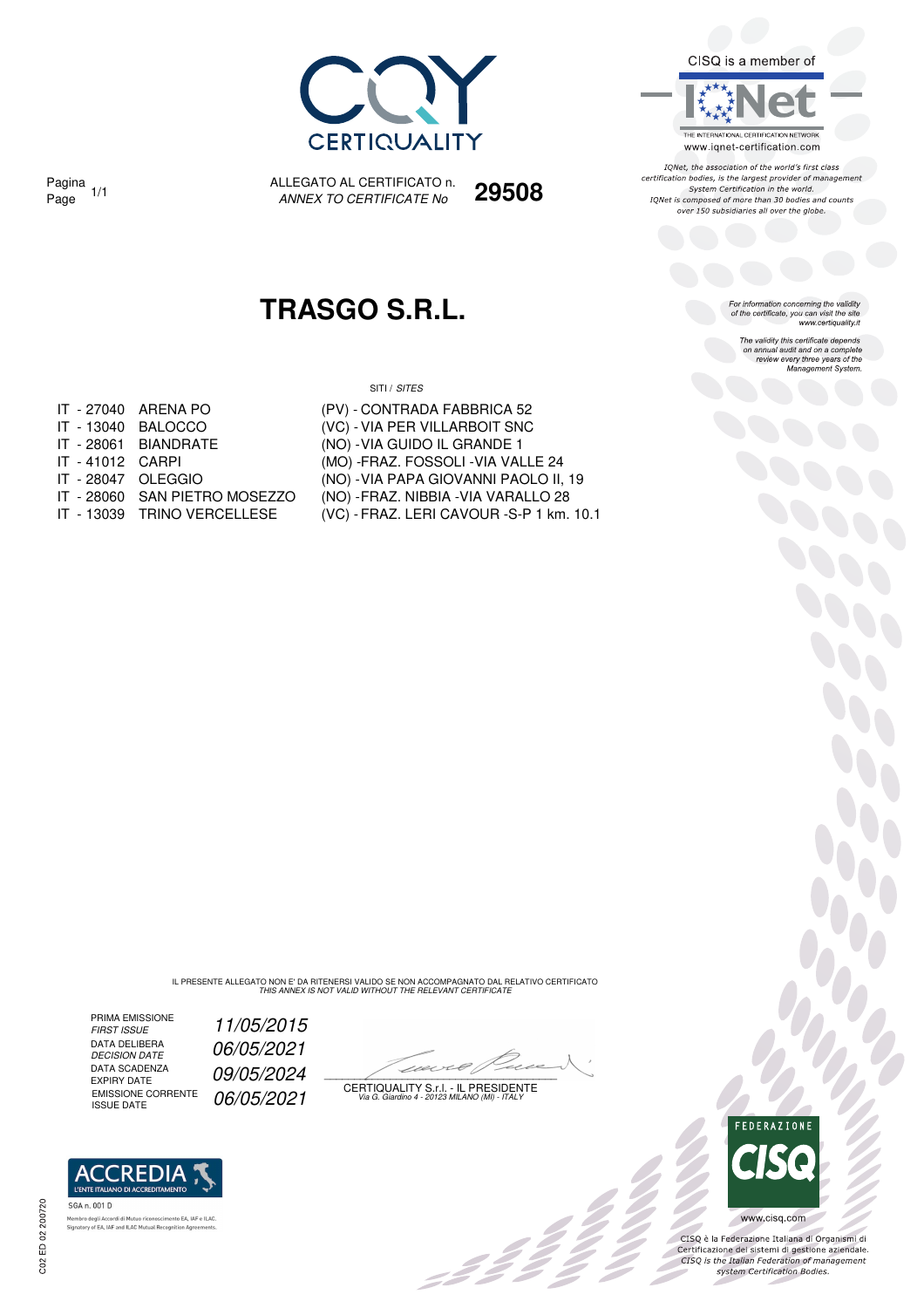

CISQ is a member of

THE INTERNATIONAL CERTIFICATION NETWORK www.iqnet-certification.com

IONet, the association of the world's first class certification bodies, is the largest provider of management System Certification in the world. IQNet is composed of more than 30 bodies and counts over 150 subsidiaries all over the globe.

For information concerning the validity<br>of the certificate, you can visit the site<br>www.certiquality.it

The validity this certificate depends on annual audit and on a complete review every three years of the<br>Management System.

Pagina 1/1

ALLEGATO AL CERTIFICATO n. Pagina 1/1 ALLEGATO AL CERTIFICATO n. **29508**<br>Page 1/1 *ANNEX TO CERTIFICATE No* **29508** 

## **TRASGO S.R.L.**

SITI / SITES

(PV) - CONTRADA FABBRICA 52

|                    | IT - 27040 ARENA PO  |
|--------------------|----------------------|
|                    | IT - 13040 BALOCCO   |
|                    | IT - 28061 BIANDRATE |
| IT - 41012 CARPI   |                      |
| IT - 28047 OLEGGIO |                      |
|                    |                      |

- 
- 
- (VC) VIA PER VILLARBOIT SNC (NO) - VIA GUIDO IL GRANDE 1 (MO) - FRAZ. FOSSOLI - VIA VALLE 24 (NO) - VIA PAPA GIOVANNI PAOLO II, 19 IT - 28060 SAN PIETRO MOSEZZO (NO) - FRAZ. NIBBIA -VIA VARALLO 28
- IT 13039 TRINO VERCELLESE (VC) FRAZ. LERI CAVOUR -S-P 1 km. 10.1

IL PRESENTE ALLEGATO NON E' DA RITENERSI VALIDO SE NON ACCOMPAGNATO DAL RELATIVO CERTIFICATO<br>THIS ANNEX IS NOT VALID WITHOUT THE RELEVANT CERTIFICATE

PRIMA EMISSIONE<br>FIRST ISSUE DATA DELIBERA<br>DECISION DATE DATA SCADENZA<br>EXPIRY DATE DATA SCADENZA<br>EXPIRY DATE 09/05/2024<br>EMISSIONE CORRENTE 06/05/2021

**ACCREDIA PELLIANO DI ACCI** 

Signatory of EA, IAF and ILAC Mutual Recognition Agr

ento EA, IAF e ILAC

.<br>b degli Accordi di Mutuo ricor

SGA n. 001 D

Memb

11/05/2015 06/05/2021

z 2 2

EMISSIONE CORRENTE  $\left( \frac{06}{05} \right) 2021$  certiquality S.f.l. - IL PRESIDENTE<br>ISSUE DATE



SOC

CISQ è la Federazione Italiana di Organismi di Certificazione dei sistemi di gestione aziendale.<br>CISQ is the Italian Federation of management system Certification Bodies.